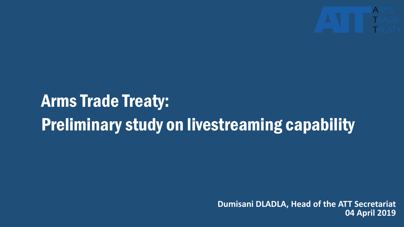

# Arms Trade Treaty: Preliminary study on livestreaming capability

**Dumisani DLADLA, Head of the ATT Secretariat 04 April 2019**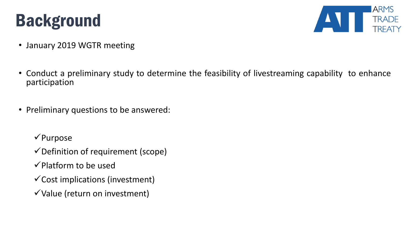## Background



- January 2019 WGTR meeting
- Conduct a preliminary study to determine the feasibility of livestreaming capability to enhance participation
- Preliminary questions to be answered:
	- $\sqrt{\text{Purpose}}$
	- $\checkmark$  Definition of requirement (scope)
	- $\checkmark$  Platform to be used
	- $\checkmark$  Cost implications (investment)
	- $\checkmark$  Value (return on investment)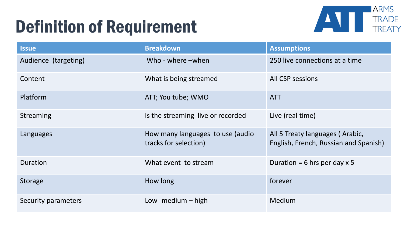## Definition of Requirement



| <b>Issue</b>         | <b>Breakdown</b>                                          | <b>Assumptions</b>                                                       |
|----------------------|-----------------------------------------------------------|--------------------------------------------------------------------------|
| Audience (targeting) | Who - where -when                                         | 250 live connections at a time                                           |
| Content              | What is being streamed                                    | <b>All CSP sessions</b>                                                  |
| <b>Platform</b>      | ATT; You tube; WMO                                        | <b>ATT</b>                                                               |
| Streaming            | Is the streaming live or recorded                         | Live (real time)                                                         |
| Languages            | How many languages to use (audio<br>tracks for selection) | All 5 Treaty languages (Arabic,<br>English, French, Russian and Spanish) |
| Duration             | What event to stream                                      | Duration = 6 hrs per day $x$ 5                                           |
| Storage              | How long                                                  | forever                                                                  |
| Security parameters  | Low- medium $-$ high                                      | Medium                                                                   |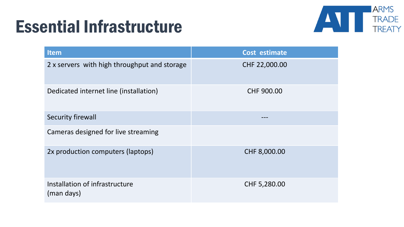#### Essential Infrastructure



| <b>Item</b>                                  | Cost estimate     |
|----------------------------------------------|-------------------|
| 2 x servers with high throughput and storage | CHF 22,000.00     |
| Dedicated internet line (installation)       | <b>CHF 900.00</b> |
| Security firewall                            |                   |
| Cameras designed for live streaming          |                   |
| 2x production computers (laptops)            | CHF 8,000.00      |
| Installation of infrastructure<br>(man days) | CHF 5,280.00      |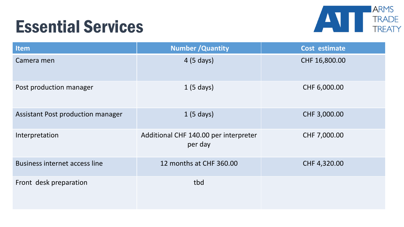#### Essential Services



| <b>Item</b>                          | <b>Number / Quantity</b>                         | Cost estimate |
|--------------------------------------|--------------------------------------------------|---------------|
| Camera men                           | 4 (5 days)                                       | CHF 16,800.00 |
| Post production manager              | 1(5 days)                                        | CHF 6,000.00  |
| Assistant Post production manager    | 1(5 days)                                        | CHF 3,000.00  |
| Interpretation                       | Additional CHF 140.00 per interpreter<br>per day | CHF 7,000.00  |
| <b>Business internet access line</b> | 12 months at CHF 360.00                          | CHF 4,320.00  |
| Front desk preparation               | tbd                                              |               |